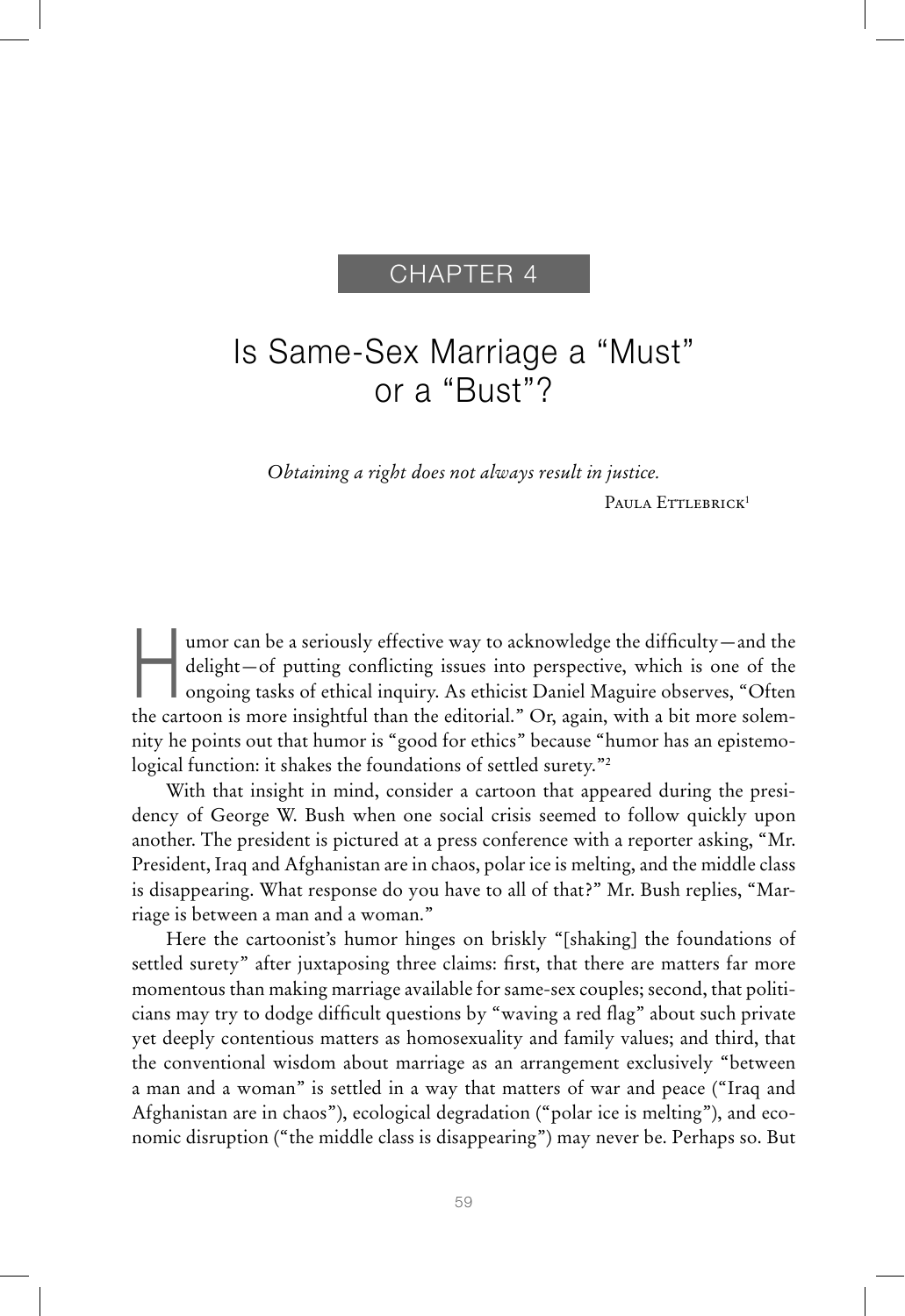# CHAPTER 4

# s Same-Sex Marriage a "Must" or a "Bust"?

*Obtaining a right does not always result in justice.*

Paula Ettlebrick<sup>1</sup>

umor can be a seriously effective way to acknowledge the difficulty—and the delight—of putting conflicting issues into perspective, which is one of the ongoing tasks of ethical inquiry. As ethicist Daniel Maguire observes, "Often the cartoon is more insightful than the editorial." Or, again, with a bit more solemnity he points out that humor is "good for ethics" because "humor has an epistemological function: it shakes the foundations of settled surety."<sup>2</sup>

With that insight in mind, consider a cartoon that appeared during the presidency of George W. Bush when one social crisis seemed to follow quickly upon another. The president is pictured at a press conference with a reporter asking, "Mr. President, Iraq and Afghanistan are in chaos, polar ice is melting, and the middle class is disappearing. What response do you have to all of that?" Mr. Bush replies, "Marriage is between a man and a woman."

Here the cartoonist's humor hinges on briskly "[shaking] the foundations of settled surety" after juxtaposing three claims: first, that there are matters far more momentous than making marriage available for same-sex couples; second, that politicians may try to dodge difficult questions by "waving a red flag" about such private yet deeply contentious matters as homosexuality and family values; and third, that the conventional wisdom about marriage as an arrangement exclusively "between a man and a woman" is settled in a way that matters of war and peace ("Iraq and Afghanistan are in chaos"), ecological degradation ("polar ice is melting"), and economic disruption ("the middle class is disappearing") may never be. Perhaps so. But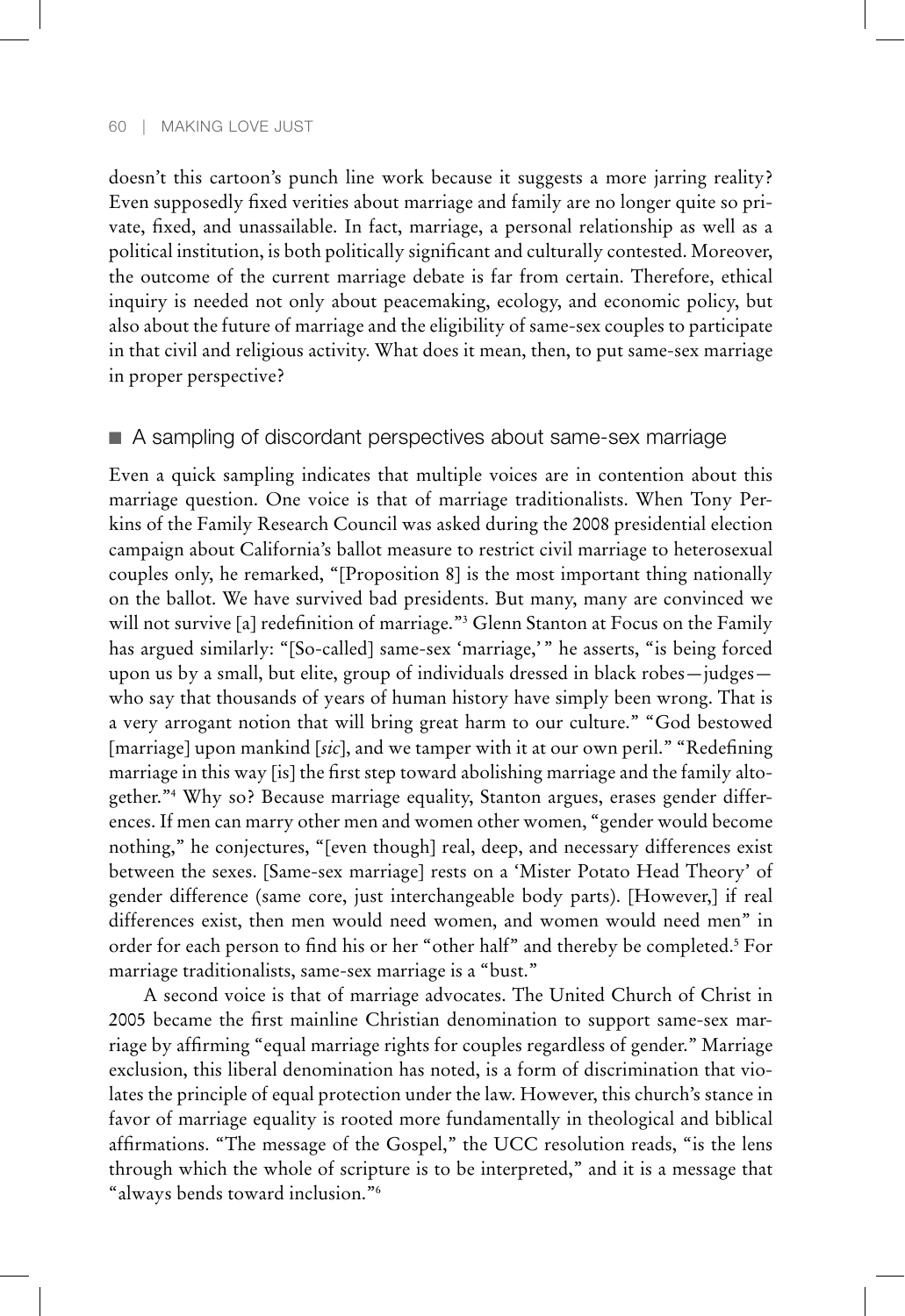doesn't this cartoon's punch line work because it suggests a more jarring reality? Even supposedly fixed verities about marriage and family are no longer quite so private, fixed, and unassailable. In fact, marriage, a personal relationship as well as a political institution, is both politically significant and culturally contested. Moreover, the outcome of the current marriage debate is far from certain. Therefore, ethical inquiry is needed not only about peacemaking, ecology, and economic policy, but also about the future of marriage and the eligibility of same-sex couples to participate in that civil and religious activity. What does it mean, then, to put same-sex marriage in proper perspective?

## ■ A sampling of discordant perspectives about same-sex marriage

Even a quick sampling indicates that multiple voices are in contention about this marriage question. One voice is that of marriage traditionalists. When Tony Perkins of the Family Research Council was asked during the 2008 presidential election campaign about California's ballot measure to restrict civil marriage to heterosexual couples only, he remarked, "[Proposition 8] is the most important thing nationally on the ballot. We have survived bad presidents. But many, many are convinced we will not survive [a] redefinition of marriage."3 Glenn Stanton at Focus on the Family has argued similarly: "[So-called] same-sex 'marriage,'" he asserts, "is being forced upon us by a small, but elite, group of individuals dressed in black robes—judges who say that thousands of years of human history have simply been wrong. That is a very arrogant notion that will bring great harm to our culture." "God bestowed [marriage] upon mankind [*sic*], and we tamper with it at our own peril." "Redefining marriage in this way [is] the first step toward abolishing marriage and the family altogether."4 Why so? Because marriage equality, Stanton argues, erases gender differences. If men can marry other men and women other women, "gender would become nothing," he conjectures, "[even though] real, deep, and necessary differences exist between the sexes. [Same-sex marriage] rests on a 'Mister Potato Head Theory' of gender difference (same core, just interchangeable body parts). [However,] if real differences exist, then men would need women, and women would need men" in order for each person to find his or her "other half" and thereby be completed.<sup>5</sup> For marriage traditionalists, same-sex marriage is a "bust."

A second voice is that of marriage advocates. The United Church of Christ in 2005 became the first mainline Christian denomination to support same-sex marriage by affirming "equal marriage rights for couples regardless of gender." Marriage exclusion, this liberal denomination has noted, is a form of discrimination that violates the principle of equal protection under the law. However, this church's stance in favor of marriage equality is rooted more fundamentally in theological and biblical affirmations. "The message of the Gospel," the UCC resolution reads, "is the lens through which the whole of scripture is to be interpreted," and it is a message that "always bends toward inclusion."6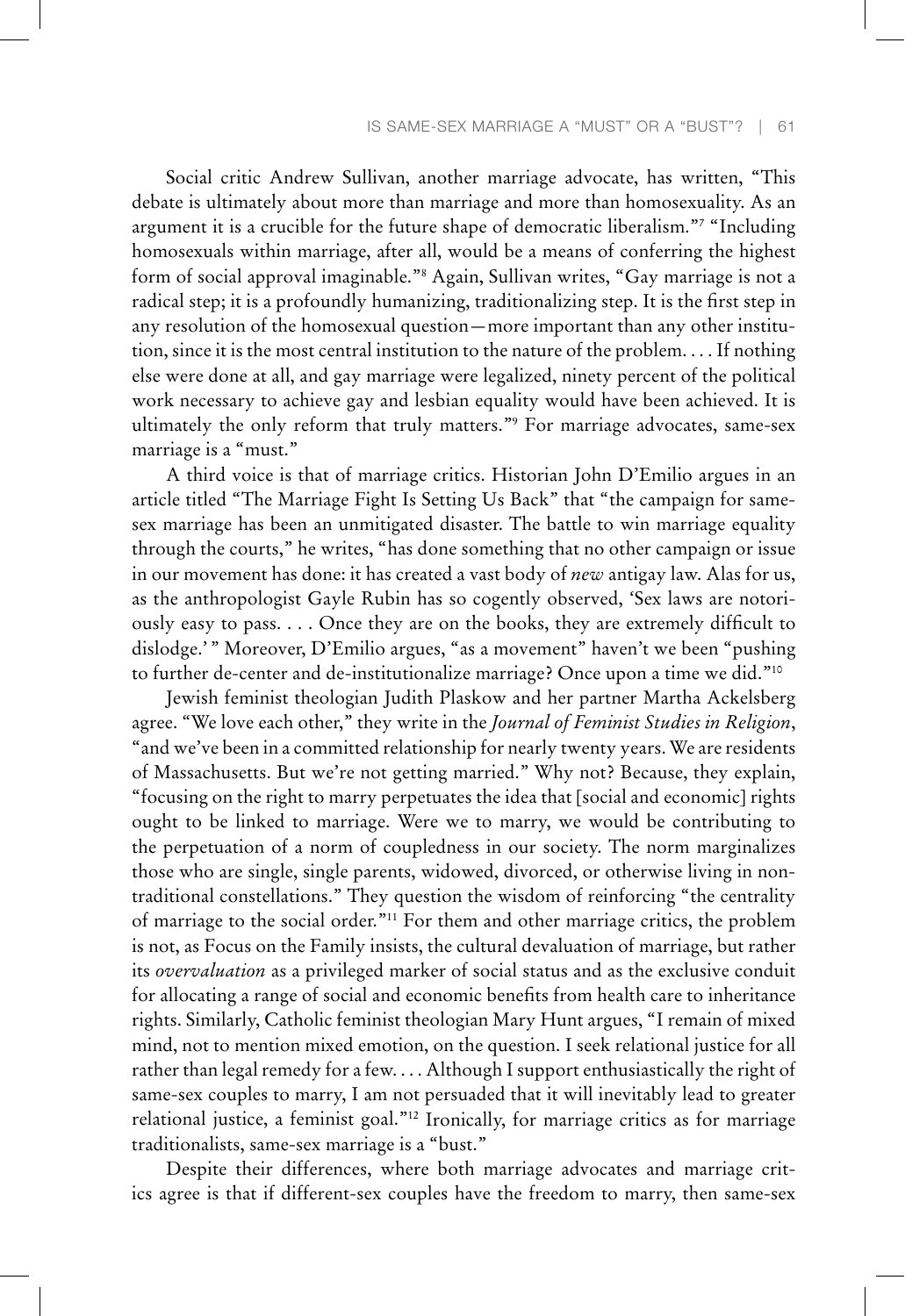Social critic Andrew Sullivan, another marriage advocate, has written, "This debate is ultimately about more than marriage and more than homosexuality. As an argument it is a crucible for the future shape of democratic liberalism."7 "Including homosexuals within marriage, after all, would be a means of conferring the highest form of social approval imaginable."8 Again, Sullivan writes, "Gay marriage is not a radical step; it is a profoundly humanizing, traditionalizing step. It is the first step in any resolution of the homosexual question—more important than any other institution, since it is the most central institution to the nature of the problem. . . . If nothing else were done at all, and gay marriage were legalized, ninety percent of the political work necessary to achieve gay and lesbian equality would have been achieved. It is ultimately the only reform that truly matters."9 For marriage advocates, same-sex marriage is a "must."

A third voice is that of marriage critics. Historian John D'Emilio argues in an article titled "The Marriage Fight Is Setting Us Back" that "the campaign for samesex marriage has been an unmitigated disaster. The battle to win marriage equality through the courts," he writes, "has done something that no other campaign or issue in our movement has done: it has created a vast body of *new* antigay law. Alas for us, as the anthropologist Gayle Rubin has so cogently observed, 'Sex laws are notoriously easy to pass. . . . Once they are on the books, they are extremely difficult to dislodge.' " Moreover, D'Emilio argues, "as a movement" haven't we been "pushing to further de-center and de-institutionalize marriage? Once upon a time we did."10

Jewish feminist theologian Judith Plaskow and her partner Martha Ackelsberg agree. "We love each other," they write in the *Journal of Feminist Studies in Religion*, "and we've been in a committed relationship for nearly twenty years. We are residents of Massachusetts. But we're not getting married." Why not? Because, they explain, "focusing on the right to marry perpetuates the idea that [social and economic] rights ought to be linked to marriage. Were we to marry, we would be contributing to the perpetuation of a norm of coupledness in our society. The norm marginalizes those who are single, single parents, widowed, divorced, or otherwise living in nontraditional constellations." They question the wisdom of reinforcing "the centrality of marriage to the social order."11 For them and other marriage critics, the problem is not, as Focus on the Family insists, the cultural devaluation of marriage, but rather its *overvaluation* as a privileged marker of social status and as the exclusive conduit for allocating a range of social and economic benefits from health care to inheritance rights. Similarly, Catholic feminist theologian Mary Hunt argues, "I remain of mixed mind, not to mention mixed emotion, on the question. I seek relational justice for all rather than legal remedy for a few. . . . Although I support enthusiastically the right of same-sex couples to marry, I am not persuaded that it will inevitably lead to greater relational justice, a feminist goal."12 Ironically, for marriage critics as for marriage traditionalists, same-sex marriage is a "bust."

Despite their differences, where both marriage advocates and marriage critics agree is that if different-sex couples have the freedom to marry, then same-sex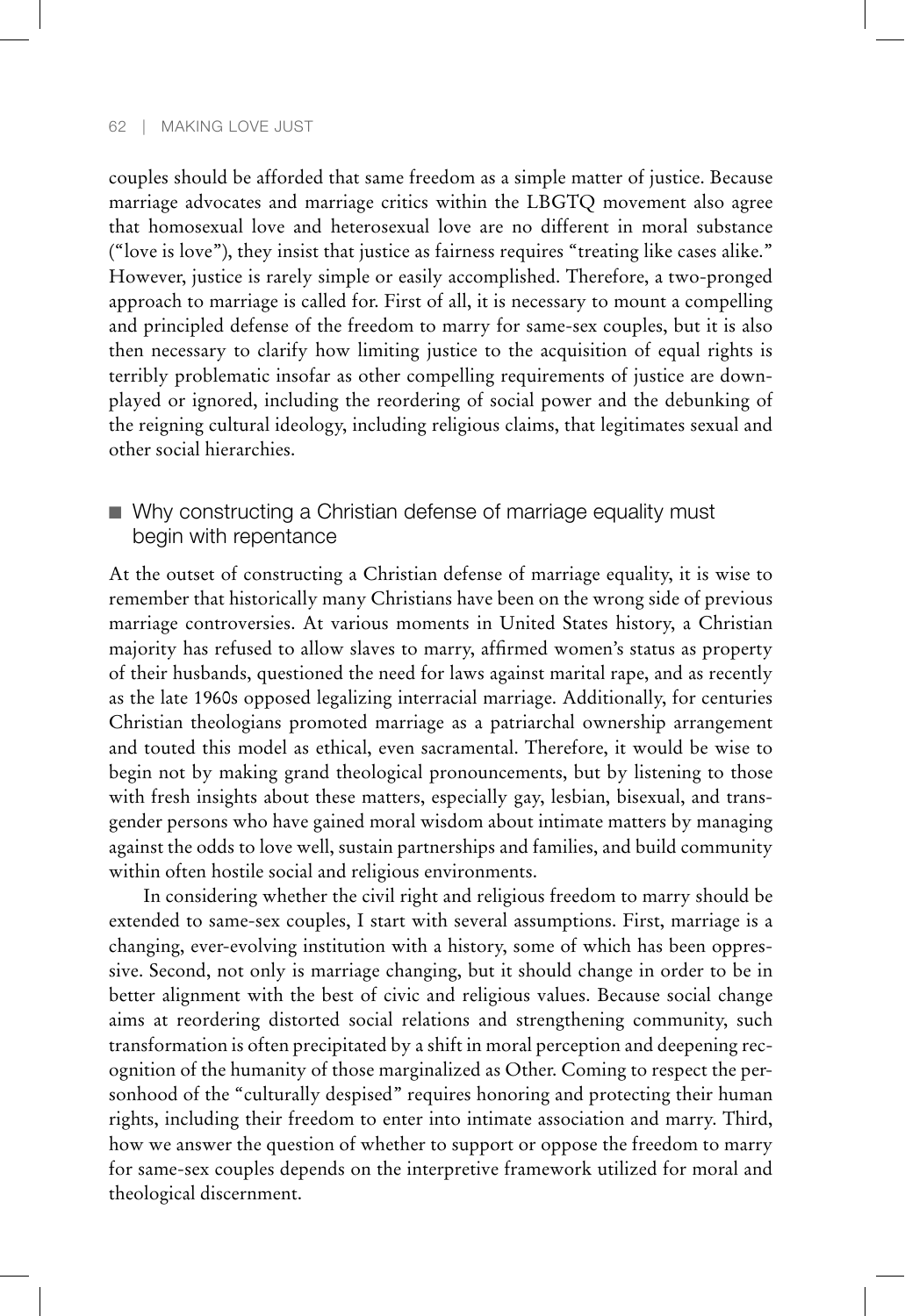couples should be afforded that same freedom as a simple matter of justice. Because marriage advocates and marriage critics within the LBGTQ movement also agree that homosexual love and heterosexual love are no different in moral substance ("love is love"), they insist that justice as fairness requires "treating like cases alike." However, justice is rarely simple or easily accomplished. Therefore, a two-pronged approach to marriage is called for. First of all, it is necessary to mount a compelling and principled defense of the freedom to marry for same-sex couples, but it is also then necessary to clarify how limiting justice to the acquisition of equal rights is terribly problematic insofar as other compelling requirements of justice are downplayed or ignored, including the reordering of social power and the debunking of the reigning cultural ideology, including religious claims, that legitimates sexual and other social hierarchies.

■ Why constructing a Christian defense of marriage equality must begin with repentance

At the outset of constructing a Christian defense of marriage equality, it is wise to remember that historically many Christians have been on the wrong side of previous marriage controversies. At various moments in United States history, a Christian majority has refused to allow slaves to marry, affirmed women's status as property of their husbands, questioned the need for laws against marital rape, and as recently as the late 1960s opposed legalizing interracial marriage. Additionally, for centuries Christian theologians promoted marriage as a patriarchal ownership arrangement and touted this model as ethical, even sacramental. Therefore, it would be wise to begin not by making grand theological pronouncements, but by listening to those with fresh insights about these matters, especially gay, lesbian, bisexual, and transgender persons who have gained moral wisdom about intimate matters by managing against the odds to love well, sustain partnerships and families, and build community within often hostile social and religious environments.

In considering whether the civil right and religious freedom to marry should be extended to same-sex couples, I start with several assumptions. First, marriage is a changing, ever-evolving institution with a history, some of which has been oppressive. Second, not only is marriage changing, but it should change in order to be in better alignment with the best of civic and religious values. Because social change aims at reordering distorted social relations and strengthening community, such transformation is often precipitated by a shift in moral perception and deepening recognition of the humanity of those marginalized as Other. Coming to respect the personhood of the "culturally despised" requires honoring and protecting their human rights, including their freedom to enter into intimate association and marry. Third, how we answer the question of whether to support or oppose the freedom to marry for same-sex couples depends on the interpretive framework utilized for moral and theological discernment.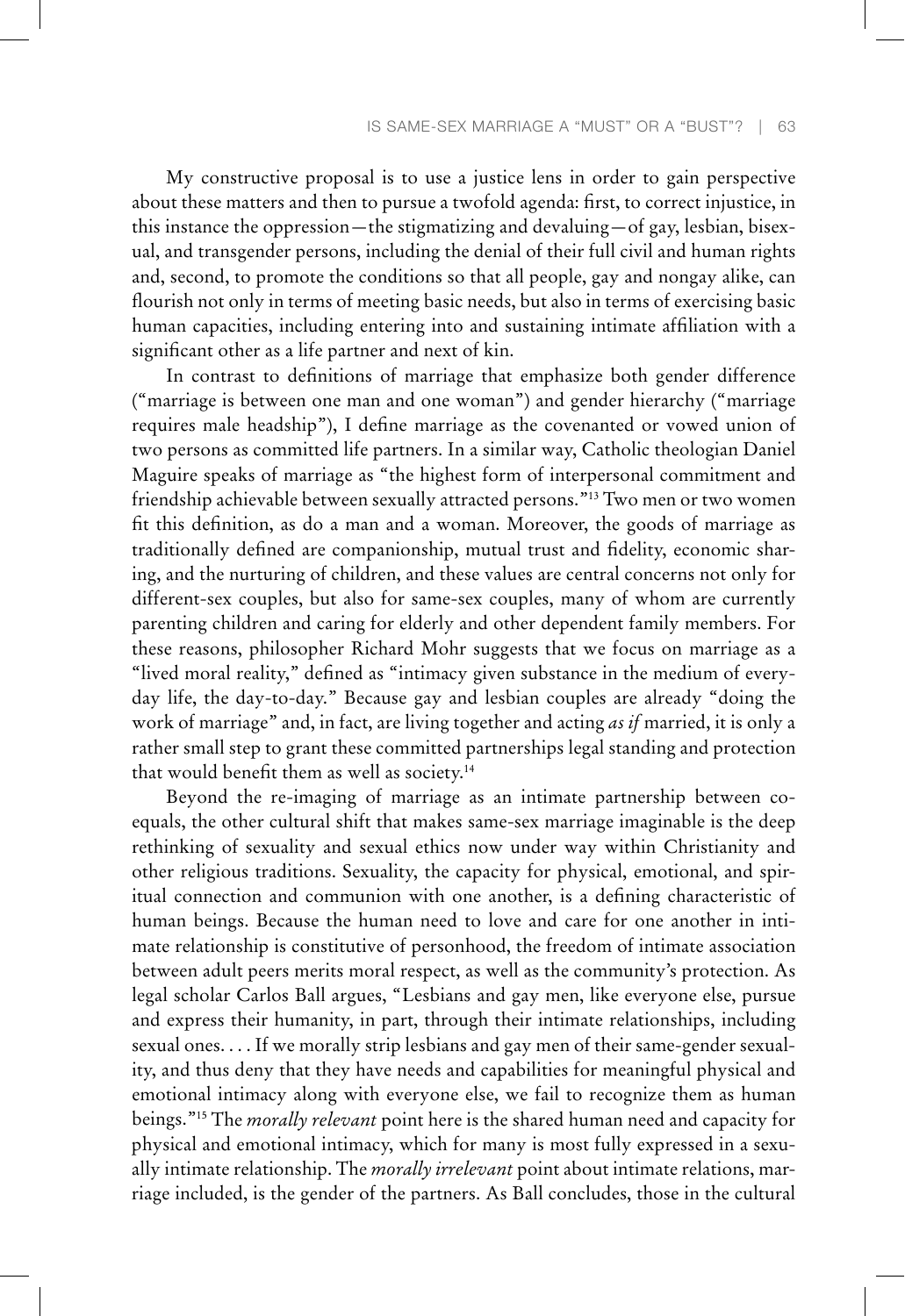My constructive proposal is to use a justice lens in order to gain perspective about these matters and then to pursue a twofold agenda: first, to correct injustice, in this instance the oppression—the stigmatizing and devaluing—of gay, lesbian, bisexual, and transgender persons, including the denial of their full civil and human rights and, second, to promote the conditions so that all people, gay and nongay alike, can flourish not only in terms of meeting basic needs, but also in terms of exercising basic human capacities, including entering into and sustaining intimate affiliation with a significant other as a life partner and next of kin.

In contrast to definitions of marriage that emphasize both gender difference ("marriage is between one man and one woman") and gender hierarchy ("marriage requires male headship"), I define marriage as the covenanted or vowed union of two persons as committed life partners. In a similar way, Catholic theologian Daniel Maguire speaks of marriage as "the highest form of interpersonal commitment and friendship achievable between sexually attracted persons."13 Two men or two women fit this definition, as do a man and a woman. Moreover, the goods of marriage as traditionally defined are companionship, mutual trust and fidelity, economic sharing, and the nurturing of children, and these values are central concerns not only for different-sex couples, but also for same-sex couples, many of whom are currently parenting children and caring for elderly and other dependent family members. For these reasons, philosopher Richard Mohr suggests that we focus on marriage as a "lived moral reality," defined as "intimacy given substance in the medium of everyday life, the day-to-day." Because gay and lesbian couples are already "doing the work of marriage" and, in fact, are living together and acting *as if* married, it is only a rather small step to grant these committed partnerships legal standing and protection that would benefit them as well as society.14

Beyond the re-imaging of marriage as an intimate partnership between coequals, the other cultural shift that makes same-sex marriage imaginable is the deep rethinking of sexuality and sexual ethics now under way within Christianity and other religious traditions. Sexuality, the capacity for physical, emotional, and spiritual connection and communion with one another, is a defining characteristic of human beings. Because the human need to love and care for one another in intimate relationship is constitutive of personhood, the freedom of intimate association between adult peers merits moral respect, as well as the community's protection. As legal scholar Carlos Ball argues, "Lesbians and gay men, like everyone else, pursue and express their humanity, in part, through their intimate relationships, including sexual ones. . . . If we morally strip lesbians and gay men of their same-gender sexuality, and thus deny that they have needs and capabilities for meaningful physical and emotional intimacy along with everyone else, we fail to recognize them as human beings."15 The *morally relevant* point here is the shared human need and capacity for physical and emotional intimacy, which for many is most fully expressed in a sexually intimate relationship. The *morally irrelevant* point about intimate relations, marriage included, is the gender of the partners. As Ball concludes, those in the cultural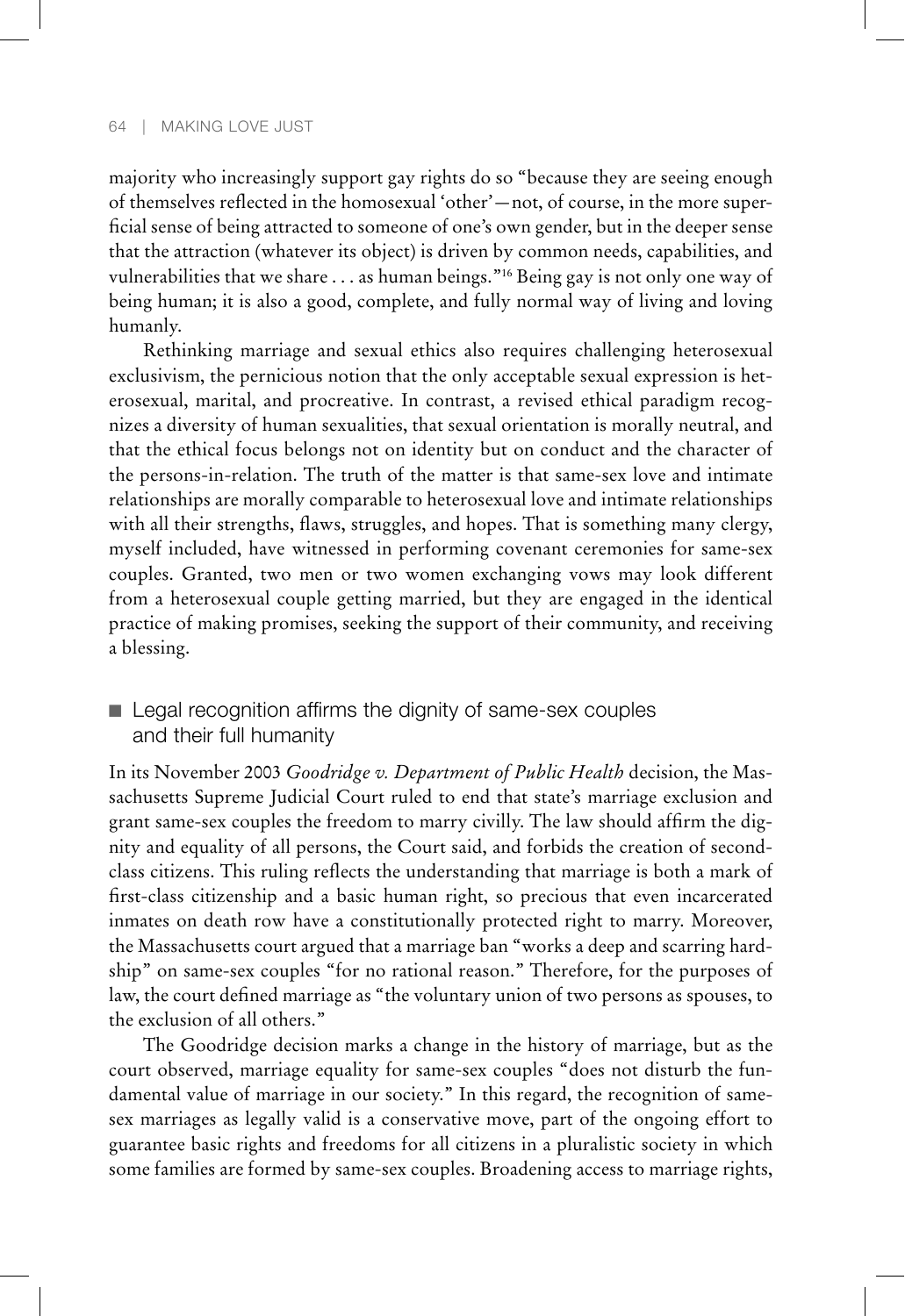majority who increasingly support gay rights do so "because they are seeing enough of themselves reflected in the homosexual 'other'—not, of course, in the more superficial sense of being attracted to someone of one's own gender, but in the deeper sense that the attraction (whatever its object) is driven by common needs, capabilities, and vulnerabilities that we share . . . as human beings."16 Being gay is not only one way of being human; it is also a good, complete, and fully normal way of living and loving humanly.

Rethinking marriage and sexual ethics also requires challenging heterosexual exclusivism, the pernicious notion that the only acceptable sexual expression is heterosexual, marital, and procreative. In contrast, a revised ethical paradigm recognizes a diversity of human sexualities, that sexual orientation is morally neutral, and that the ethical focus belongs not on identity but on conduct and the character of the persons-in-relation. The truth of the matter is that same-sex love and intimate relationships are morally comparable to heterosexual love and intimate relationships with all their strengths, flaws, struggles, and hopes. That is something many clergy, myself included, have witnessed in performing covenant ceremonies for same-sex couples. Granted, two men or two women exchanging vows may look different from a heterosexual couple getting married, but they are engaged in the identical practice of making promises, seeking the support of their community, and receiving a blessing.

E Legal recognition affirms the dignity of same-sex couples and their full humanity

In its November 2003 *Goodridge v. Department of Public Health* decision, the Massachusetts Supreme Judicial Court ruled to end that state's marriage exclusion and grant same-sex couples the freedom to marry civilly. The law should affirm the dignity and equality of all persons, the Court said, and forbids the creation of secondclass citizens. This ruling reflects the understanding that marriage is both a mark of first-class citizenship and a basic human right, so precious that even incarcerated inmates on death row have a constitutionally protected right to marry. Moreover, the Massachusetts court argued that a marriage ban "works a deep and scarring hardship" on same-sex couples "for no rational reason." Therefore, for the purposes of law, the court defined marriage as "the voluntary union of two persons as spouses, to the exclusion of all others."

The Goodridge decision marks a change in the history of marriage, but as the court observed, marriage equality for same-sex couples "does not disturb the fundamental value of marriage in our society." In this regard, the recognition of samesex marriages as legally valid is a conservative move, part of the ongoing effort to guarantee basic rights and freedoms for all citizens in a pluralistic society in which some families are formed by same-sex couples. Broadening access to marriage rights,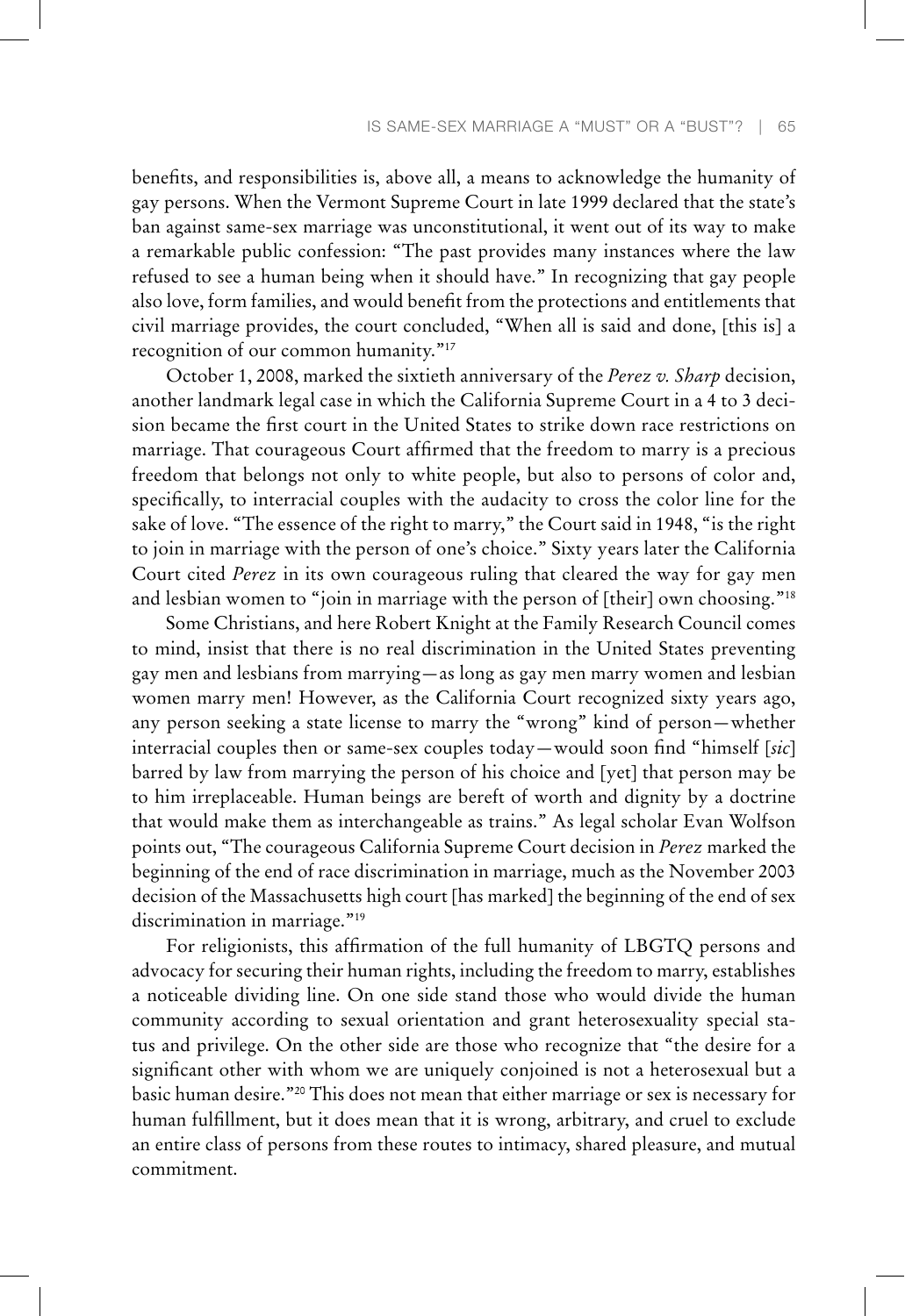benefits, and responsibilities is, above all, a means to acknowledge the humanity of gay persons. When the Vermont Supreme Court in late 1999 declared that the state's ban against same-sex marriage was unconstitutional, it went out of its way to make a remarkable public confession: "The past provides many instances where the law refused to see a human being when it should have." In recognizing that gay people also love, form families, and would benefit from the protections and entitlements that civil marriage provides, the court concluded, "When all is said and done, [this is] a recognition of our common humanity."17

October 1, 2008, marked the sixtieth anniversary of the *Perez v. Sharp* decision, another landmark legal case in which the California Supreme Court in a 4 to 3 decision became the first court in the United States to strike down race restrictions on marriage. That courageous Court affirmed that the freedom to marry is a precious freedom that belongs not only to white people, but also to persons of color and, specifically, to interracial couples with the audacity to cross the color line for the sake of love. "The essence of the right to marry," the Court said in 1948, "is the right to join in marriage with the person of one's choice." Sixty years later the California Court cited *Perez* in its own courageous ruling that cleared the way for gay men and lesbian women to "join in marriage with the person of [their] own choosing."18

Some Christians, and here Robert Knight at the Family Research Council comes to mind, insist that there is no real discrimination in the United States preventing gay men and lesbians from marrying—as long as gay men marry women and lesbian women marry men! However, as the California Court recognized sixty years ago, any person seeking a state license to marry the "wrong" kind of person—whether interracial couples then or same-sex couples today—would soon find "himself [*sic*] barred by law from marrying the person of his choice and [yet] that person may be to him irreplaceable. Human beings are bereft of worth and dignity by a doctrine that would make them as interchangeable as trains." As legal scholar Evan Wolfson points out, "The courageous California Supreme Court decision in *Perez* marked the beginning of the end of race discrimination in marriage, much as the November 2003 decision of the Massachusetts high court [has marked] the beginning of the end of sex discrimination in marriage."<sup>19</sup>

For religionists, this affirmation of the full humanity of LBGTQ persons and advocacy for securing their human rights, including the freedom to marry, establishes a noticeable dividing line. On one side stand those who would divide the human community according to sexual orientation and grant heterosexuality special status and privilege. On the other side are those who recognize that "the desire for a significant other with whom we are uniquely conjoined is not a heterosexual but a basic human desire."20 This does not mean that either marriage or sex is necessary for human fulfillment, but it does mean that it is wrong, arbitrary, and cruel to exclude an entire class of persons from these routes to intimacy, shared pleasure, and mutual commitment.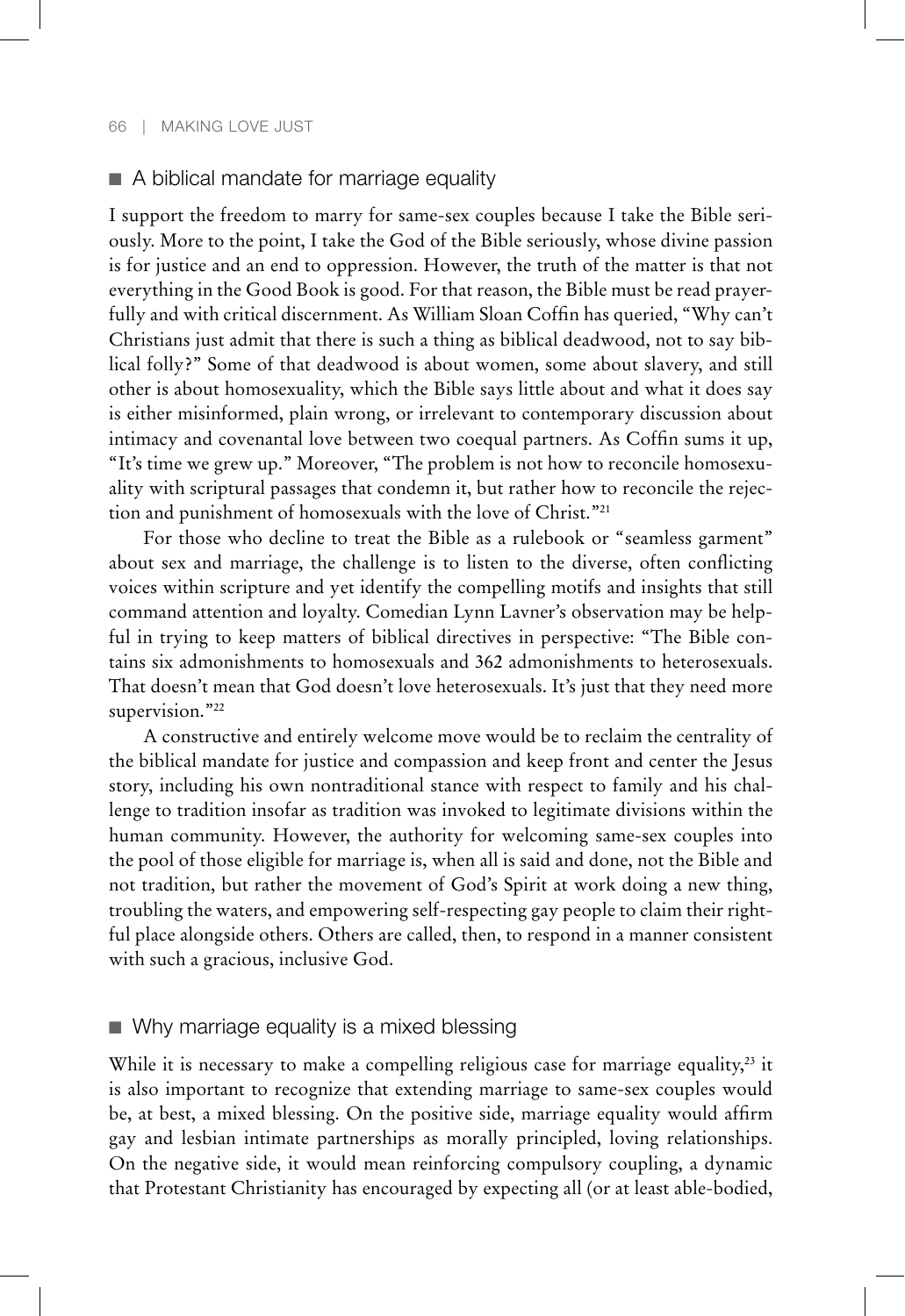## $\blacksquare$  A biblical mandate for marriage equality

I support the freedom to marry for same-sex couples because I take the Bible seriously. More to the point, I take the God of the Bible seriously, whose divine passion is for justice and an end to oppression. However, the truth of the matter is that not everything in the Good Book is good. For that reason, the Bible must be read prayerfully and with critical discernment. As William Sloan Coffin has queried, "Why can't Christians just admit that there is such a thing as biblical deadwood, not to say biblical folly?" Some of that deadwood is about women, some about slavery, and still other is about homosexuality, which the Bible says little about and what it does say is either misinformed, plain wrong, or irrelevant to contemporary discussion about intimacy and covenantal love between two coequal partners. As Coffin sums it up, "It's time we grew up." Moreover, "The problem is not how to reconcile homosexuality with scriptural passages that condemn it, but rather how to reconcile the rejection and punishment of homosexuals with the love of Christ."21

For those who decline to treat the Bible as a rulebook or "seamless garment" about sex and marriage, the challenge is to listen to the diverse, often conflicting voices within scripture and yet identify the compelling motifs and insights that still command attention and loyalty. Comedian Lynn Lavner's observation may be helpful in trying to keep matters of biblical directives in perspective: "The Bible contains six admonishments to homosexuals and 362 admonishments to heterosexuals. That doesn't mean that God doesn't love heterosexuals. It's just that they need more supervision."<sup>22</sup>

A constructive and entirely welcome move would be to reclaim the centrality of the biblical mandate for justice and compassion and keep front and center the Jesus story, including his own nontraditional stance with respect to family and his challenge to tradition insofar as tradition was invoked to legitimate divisions within the human community. However, the authority for welcoming same-sex couples into the pool of those eligible for marriage is, when all is said and done, not the Bible and not tradition, but rather the movement of God's Spirit at work doing a new thing, troubling the waters, and empowering self-respecting gay people to claim their rightful place alongside others. Others are called, then, to respond in a manner consistent with such a gracious, inclusive God.

# **Nhy marriage equality is a mixed blessing**

While it is necessary to make a compelling religious case for marriage equality,<sup>23</sup> it is also important to recognize that extending marriage to same-sex couples would be, at best, a mixed blessing. On the positive side, marriage equality would affirm gay and lesbian intimate partnerships as morally principled, loving relationships. On the negative side, it would mean reinforcing compulsory coupling, a dynamic that Protestant Christianity has encouraged by expecting all (or at least able-bodied,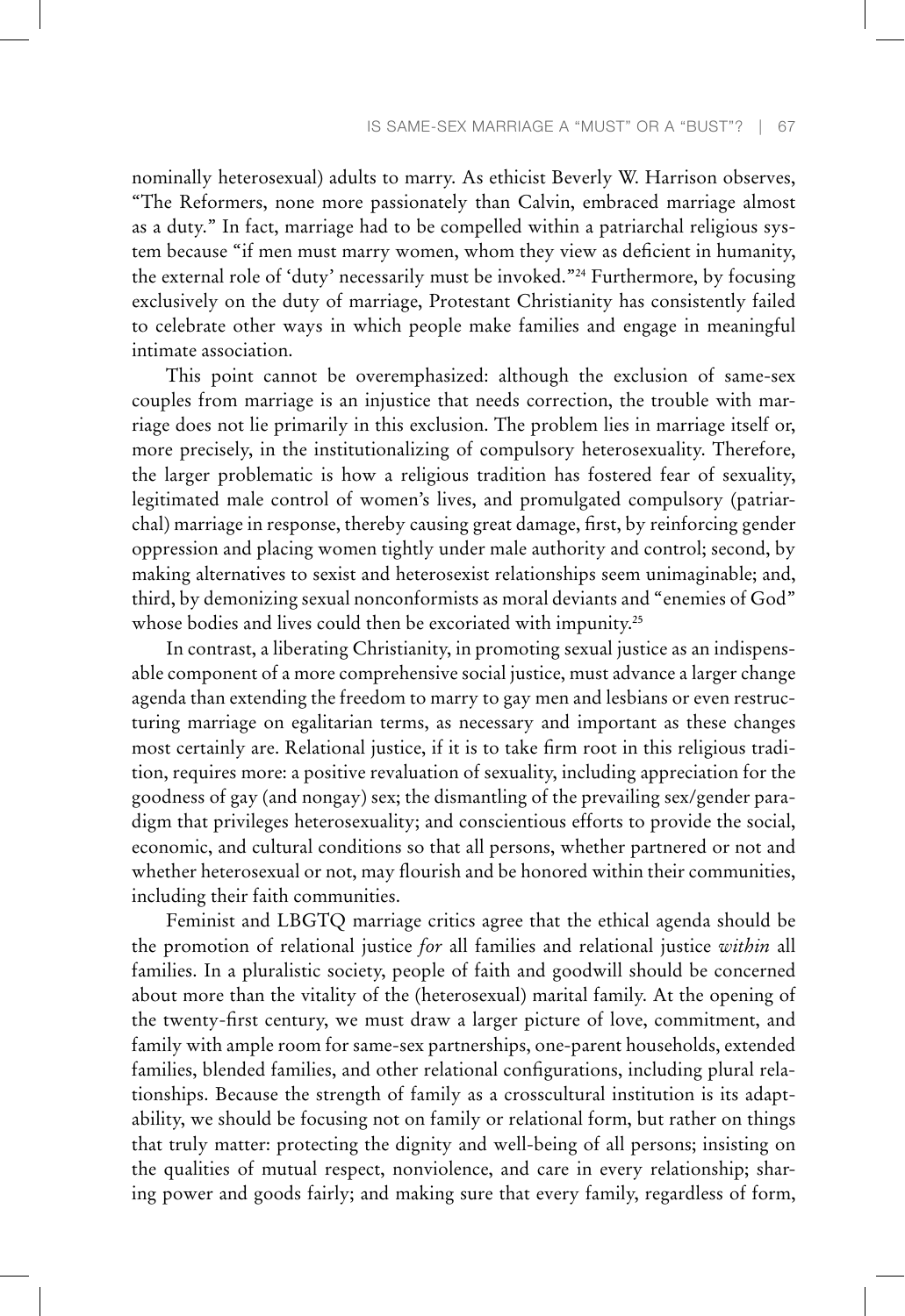nominally heterosexual) adults to marry. As ethicist Beverly W. Harrison observes, "The Reformers, none more passionately than Calvin, embraced marriage almost as a duty." In fact, marriage had to be compelled within a patriarchal religious system because "if men must marry women, whom they view as deficient in humanity, the external role of 'duty' necessarily must be invoked."24 Furthermore, by focusing exclusively on the duty of marriage, Protestant Christianity has consistently failed to celebrate other ways in which people make families and engage in meaningful intimate association.

This point cannot be overemphasized: although the exclusion of same-sex couples from marriage is an injustice that needs correction, the trouble with marriage does not lie primarily in this exclusion. The problem lies in marriage itself or, more precisely, in the institutionalizing of compulsory heterosexuality. Therefore, the larger problematic is how a religious tradition has fostered fear of sexuality, legitimated male control of women's lives, and promulgated compulsory (patriarchal) marriage in response, thereby causing great damage, first, by reinforcing gender oppression and placing women tightly under male authority and control; second, by making alternatives to sexist and heterosexist relationships seem unimaginable; and, third, by demonizing sexual nonconformists as moral deviants and "enemies of God" whose bodies and lives could then be excoriated with impunity.<sup>25</sup>

In contrast, a liberating Christianity, in promoting sexual justice as an indispensable component of a more comprehensive social justice, must advance a larger change agenda than extending the freedom to marry to gay men and lesbians or even restructuring marriage on egalitarian terms, as necessary and important as these changes most certainly are. Relational justice, if it is to take firm root in this religious tradition, requires more: a positive revaluation of sexuality, including appreciation for the goodness of gay (and nongay) sex; the dismantling of the prevailing sex/gender paradigm that privileges heterosexuality; and conscientious efforts to provide the social, economic, and cultural conditions so that all persons, whether partnered or not and whether heterosexual or not, may flourish and be honored within their communities, including their faith communities.

Feminist and LBGTQ marriage critics agree that the ethical agenda should be the promotion of relational justice *for* all families and relational justice *within* all families. In a pluralistic society, people of faith and goodwill should be concerned about more than the vitality of the (heterosexual) marital family. At the opening of the twenty-first century, we must draw a larger picture of love, commitment, and family with ample room for same-sex partnerships, one-parent households, extended families, blended families, and other relational configurations, including plural relationships. Because the strength of family as a crosscultural institution is its adaptability, we should be focusing not on family or relational form, but rather on things that truly matter: protecting the dignity and well-being of all persons; insisting on the qualities of mutual respect, nonviolence, and care in every relationship; sharing power and goods fairly; and making sure that every family, regardless of form,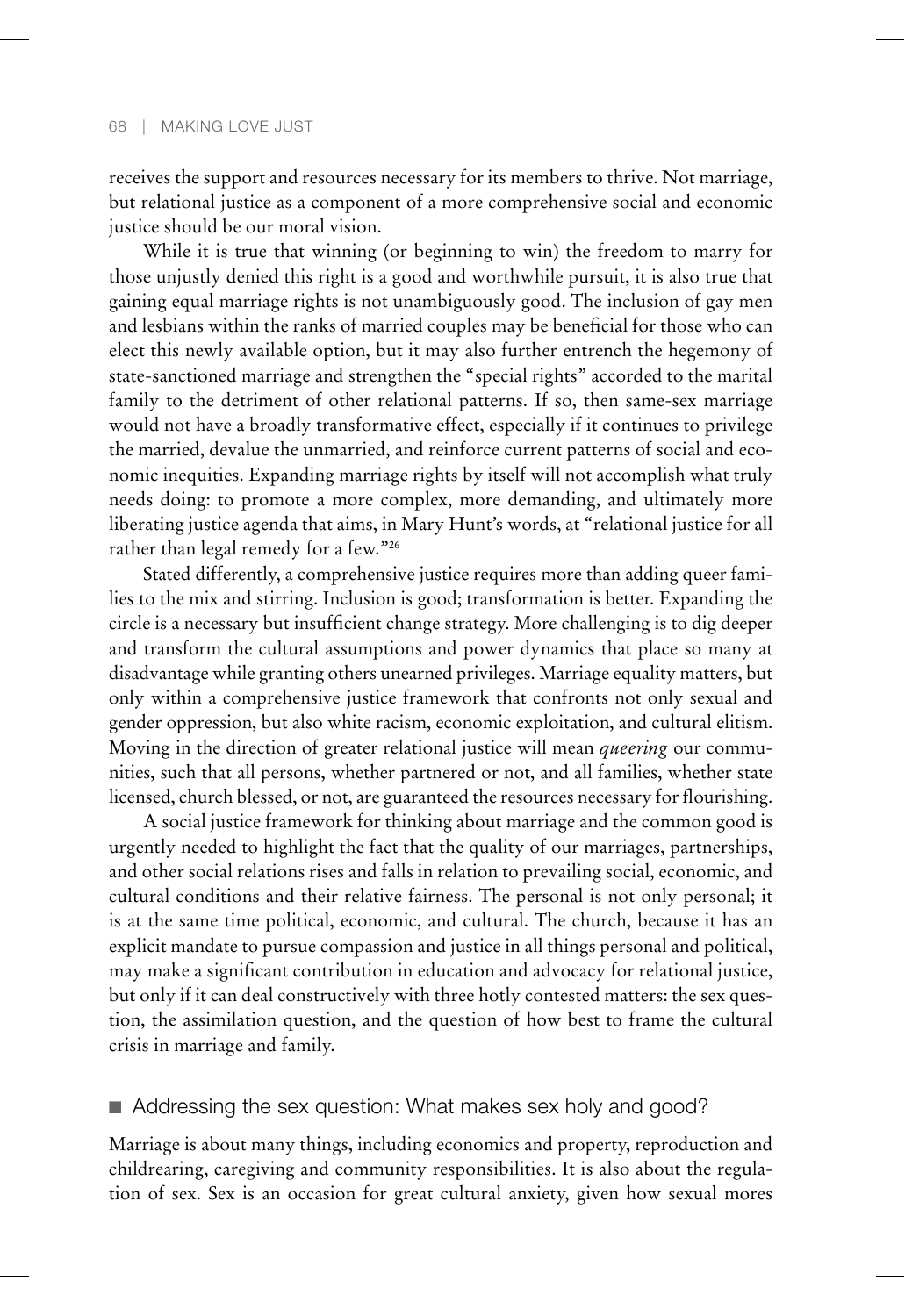receives the support and resources necessary for its members to thrive. Not marriage, but relational justice as a component of a more comprehensive social and economic justice should be our moral vision.

While it is true that winning (or beginning to win) the freedom to marry for those unjustly denied this right is a good and worthwhile pursuit, it is also true that gaining equal marriage rights is not unambiguously good. The inclusion of gay men and lesbians within the ranks of married couples may be beneficial for those who can elect this newly available option, but it may also further entrench the hegemony of state-sanctioned marriage and strengthen the "special rights" accorded to the marital family to the detriment of other relational patterns. If so, then same-sex marriage would not have a broadly transformative effect, especially if it continues to privilege the married, devalue the unmarried, and reinforce current patterns of social and economic inequities. Expanding marriage rights by itself will not accomplish what truly needs doing: to promote a more complex, more demanding, and ultimately more liberating justice agenda that aims, in Mary Hunt's words, at "relational justice for all rather than legal remedy for a few."26

Stated differently, a comprehensive justice requires more than adding queer families to the mix and stirring. Inclusion is good; transformation is better. Expanding the circle is a necessary but insufficient change strategy. More challenging is to dig deeper and transform the cultural assumptions and power dynamics that place so many at disadvantage while granting others unearned privileges. Marriage equality matters, but only within a comprehensive justice framework that confronts not only sexual and gender oppression, but also white racism, economic exploitation, and cultural elitism. Moving in the direction of greater relational justice will mean *queering* our communities, such that all persons, whether partnered or not, and all families, whether state licensed, church blessed, or not, are guaranteed the resources necessary for flourishing.

A social justice framework for thinking about marriage and the common good is urgently needed to highlight the fact that the quality of our marriages, partnerships, and other social relations rises and falls in relation to prevailing social, economic, and cultural conditions and their relative fairness. The personal is not only personal; it is at the same time political, economic, and cultural. The church, because it has an explicit mandate to pursue compassion and justice in all things personal and political, may make a significant contribution in education and advocacy for relational justice, but only if it can deal constructively with three hotly contested matters: the sex question, the assimilation question, and the question of how best to frame the cultural crisis in marriage and family.

### ■ Addressing the sex question: What makes sex holy and good?

Marriage is about many things, including economics and property, reproduction and childrearing, caregiving and community responsibilities. It is also about the regulation of sex. Sex is an occasion for great cultural anxiety, given how sexual mores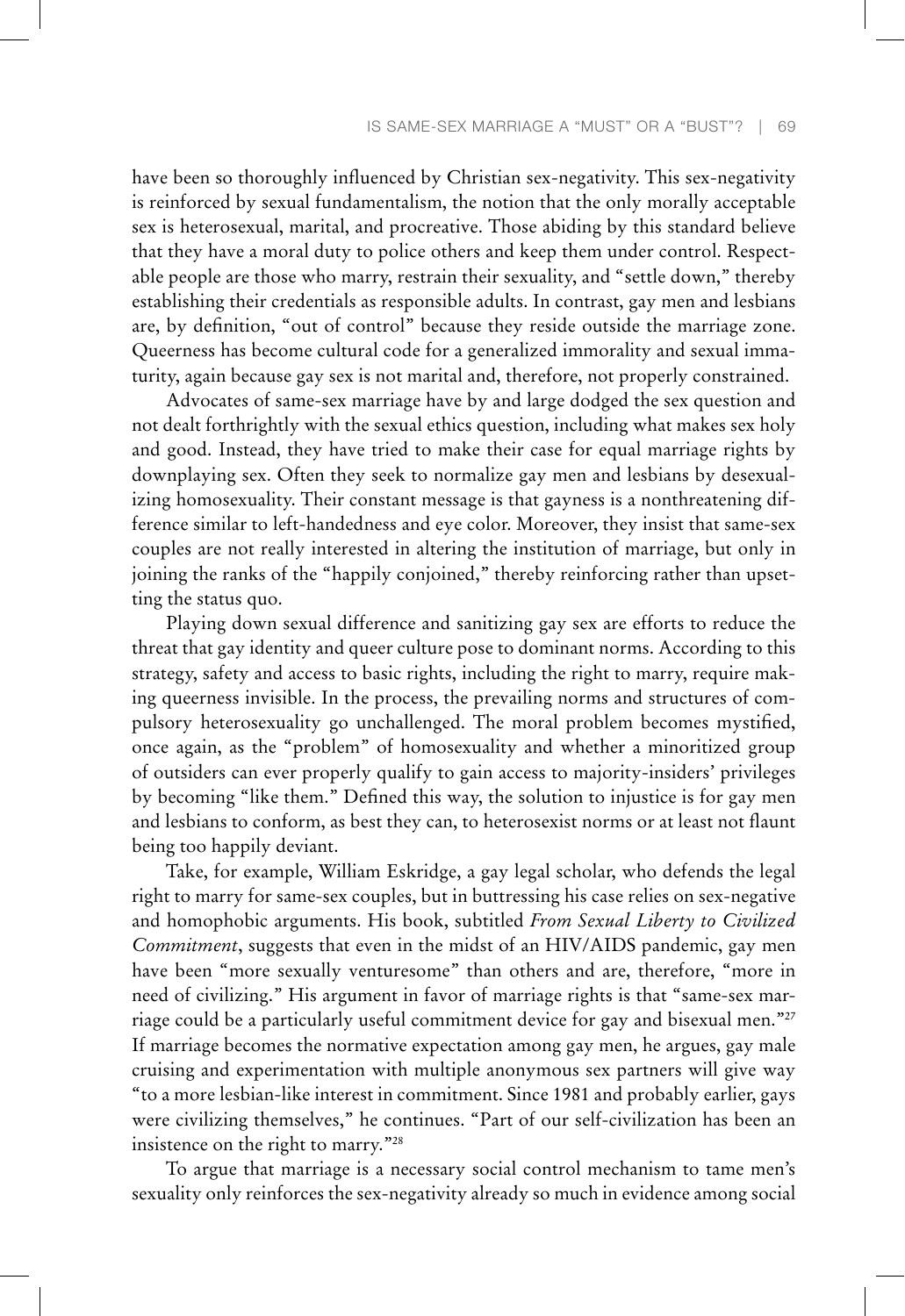have been so thoroughly influenced by Christian sex-negativity. This sex-negativity is reinforced by sexual fundamentalism, the notion that the only morally acceptable sex is heterosexual, marital, and procreative. Those abiding by this standard believe that they have a moral duty to police others and keep them under control. Respectable people are those who marry, restrain their sexuality, and "settle down," thereby establishing their credentials as responsible adults. In contrast, gay men and lesbians are, by definition, "out of control" because they reside outside the marriage zone. Queerness has become cultural code for a generalized immorality and sexual immaturity, again because gay sex is not marital and, therefore, not properly constrained.

Advocates of same-sex marriage have by and large dodged the sex question and not dealt forthrightly with the sexual ethics question, including what makes sex holy and good. Instead, they have tried to make their case for equal marriage rights by downplaying sex. Often they seek to normalize gay men and lesbians by desexualizing homosexuality. Their constant message is that gayness is a nonthreatening difference similar to left-handedness and eye color. Moreover, they insist that same-sex couples are not really interested in altering the institution of marriage, but only in joining the ranks of the "happily conjoined," thereby reinforcing rather than upsetting the status quo.

Playing down sexual difference and sanitizing gay sex are efforts to reduce the threat that gay identity and queer culture pose to dominant norms. According to this strategy, safety and access to basic rights, including the right to marry, require making queerness invisible. In the process, the prevailing norms and structures of compulsory heterosexuality go unchallenged. The moral problem becomes mystified, once again, as the "problem" of homosexuality and whether a minoritized group of outsiders can ever properly qualify to gain access to majority-insiders' privileges by becoming "like them." Defined this way, the solution to injustice is for gay men and lesbians to conform, as best they can, to heterosexist norms or at least not flaunt being too happily deviant.

Take, for example, William Eskridge, a gay legal scholar, who defends the legal right to marry for same-sex couples, but in buttressing his case relies on sex-negative and homophobic arguments. His book, subtitled *From Sexual Liberty to Civilized Commitment*, suggests that even in the midst of an HIV/AIDS pandemic, gay men have been "more sexually venturesome" than others and are, therefore, "more in need of civilizing." His argument in favor of marriage rights is that "same-sex marriage could be a particularly useful commitment device for gay and bisexual men."27 If marriage becomes the normative expectation among gay men, he argues, gay male cruising and experimentation with multiple anonymous sex partners will give way "to a more lesbian-like interest in commitment. Since 1981 and probably earlier, gays were civilizing themselves," he continues. "Part of our self-civilization has been an insistence on the right to marry."28

To argue that marriage is a necessary social control mechanism to tame men's sexuality only reinforces the sex-negativity already so much in evidence among social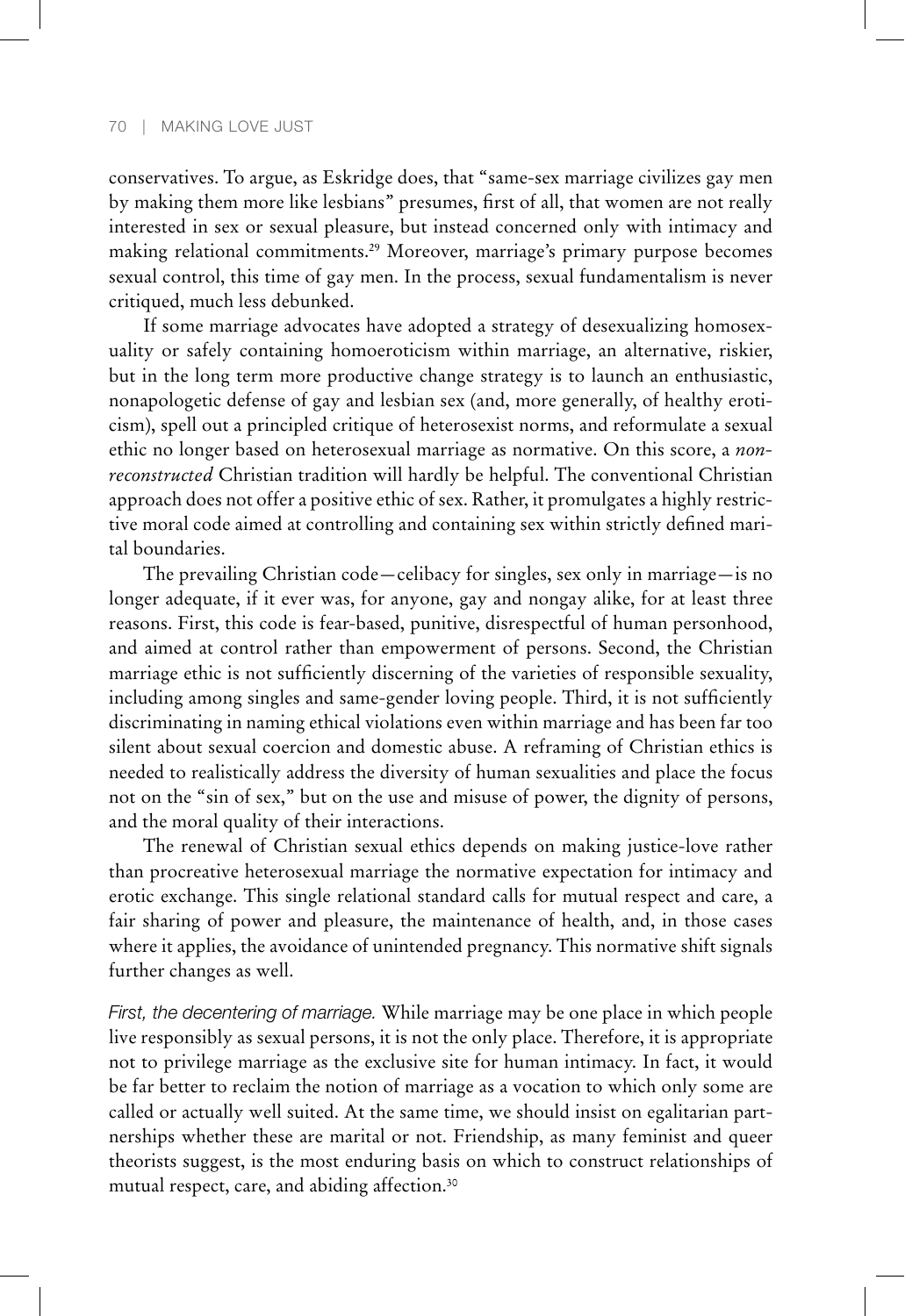conservatives. To argue, as Eskridge does, that "same-sex marriage civilizes gay men by making them more like lesbians" presumes, first of all, that women are not really interested in sex or sexual pleasure, but instead concerned only with intimacy and making relational commitments.29 Moreover, marriage's primary purpose becomes sexual control, this time of gay men. In the process, sexual fundamentalism is never critiqued, much less debunked.

If some marriage advocates have adopted a strategy of desexualizing homosexuality or safely containing homoeroticism within marriage, an alternative, riskier, but in the long term more productive change strategy is to launch an enthusiastic, nonapologetic defense of gay and lesbian sex (and, more generally, of healthy eroticism), spell out a principled critique of heterosexist norms, and reformulate a sexual ethic no longer based on heterosexual marriage as normative. On this score, a *nonreconstructed* Christian tradition will hardly be helpful. The conventional Christian approach does not offer a positive ethic of sex. Rather, it promulgates a highly restrictive moral code aimed at controlling and containing sex within strictly defined marital boundaries.

The prevailing Christian code—celibacy for singles, sex only in marriage—is no longer adequate, if it ever was, for anyone, gay and nongay alike, for at least three reasons. First, this code is fear-based, punitive, disrespectful of human personhood, and aimed at control rather than empowerment of persons. Second, the Christian marriage ethic is not sufficiently discerning of the varieties of responsible sexuality, including among singles and same-gender loving people. Third, it is not sufficiently discriminating in naming ethical violations even within marriage and has been far too silent about sexual coercion and domestic abuse. A reframing of Christian ethics is needed to realistically address the diversity of human sexualities and place the focus not on the "sin of sex," but on the use and misuse of power, the dignity of persons, and the moral quality of their interactions.

The renewal of Christian sexual ethics depends on making justice-love rather than procreative heterosexual marriage the normative expectation for intimacy and erotic exchange. This single relational standard calls for mutual respect and care, a fair sharing of power and pleasure, the maintenance of health, and, in those cases where it applies, the avoidance of unintended pregnancy. This normative shift signals further changes as well.

*First, the decentering of marriage.* While marriage may be one place in which people live responsibly as sexual persons, it is not the only place. Therefore, it is appropriate not to privilege marriage as the exclusive site for human intimacy. In fact, it would be far better to reclaim the notion of marriage as a vocation to which only some are called or actually well suited. At the same time, we should insist on egalitarian partnerships whether these are marital or not. Friendship, as many feminist and queer theorists suggest, is the most enduring basis on which to construct relationships of mutual respect, care, and abiding affection.30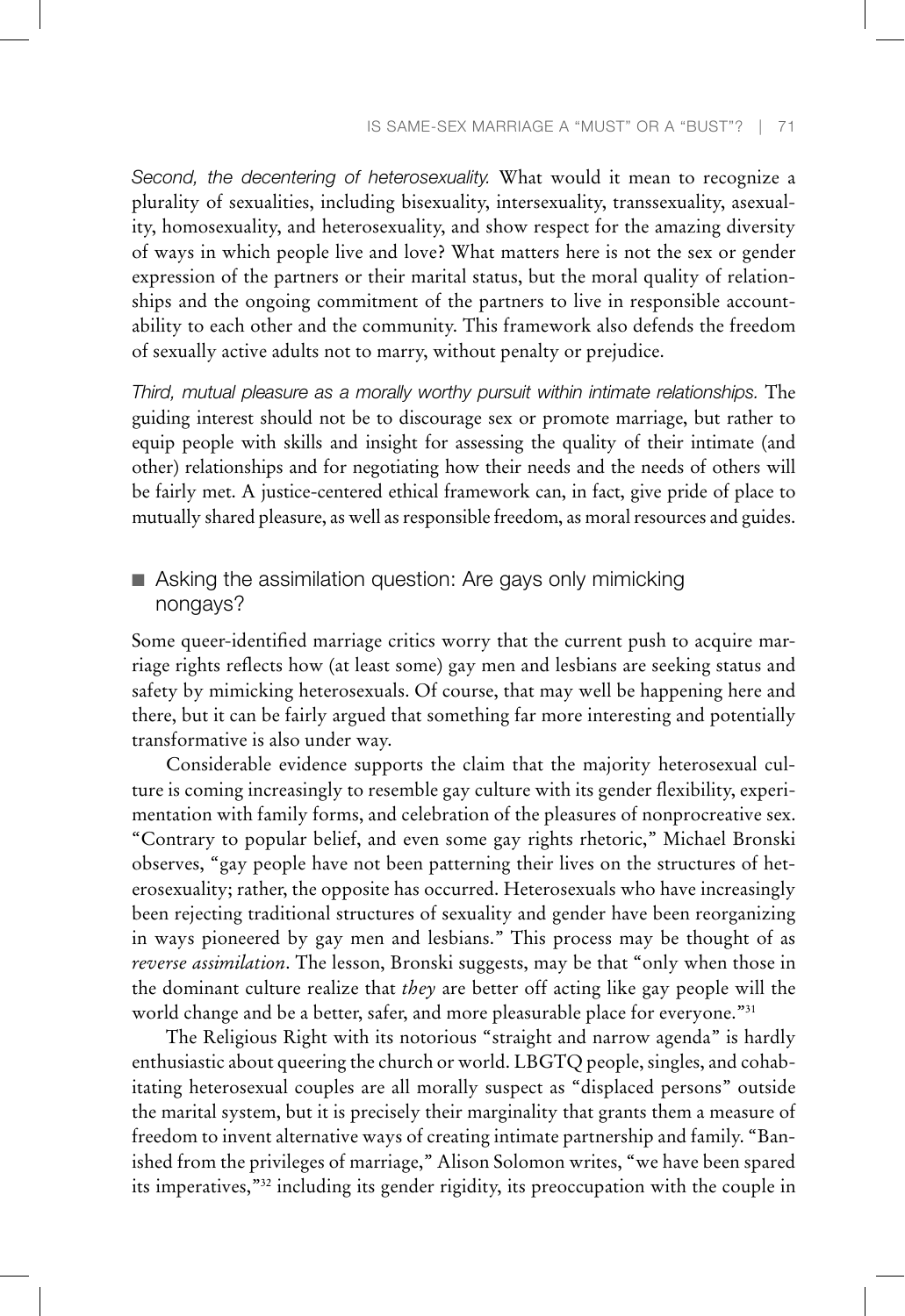*Second, the decentering of heterosexuality.* What would it mean to recognize a plurality of sexualities, including bisexuality, intersexuality, transsexuality, asexuality, homosexuality, and heterosexuality, and show respect for the amazing diversity of ways in which people live and love? What matters here is not the sex or gender expression of the partners or their marital status, but the moral quality of relationships and the ongoing commitment of the partners to live in responsible accountability to each other and the community. This framework also defends the freedom of sexually active adults not to marry, without penalty or prejudice.

*Third, mutual pleasure as a morally worthy pursuit within intimate relationships.* The guiding interest should not be to discourage sex or promote marriage, but rather to equip people with skills and insight for assessing the quality of their intimate (and other) relationships and for negotiating how their needs and the needs of others will be fairly met. A justice-centered ethical framework can, in fact, give pride of place to mutually shared pleasure, as well as responsible freedom, as moral resources and guides.

 $\blacksquare$  Asking the assimilation question: Are gays only mimicking nongays?

Some queer-identified marriage critics worry that the current push to acquire marriage rights reflects how (at least some) gay men and lesbians are seeking status and safety by mimicking heterosexuals. Of course, that may well be happening here and there, but it can be fairly argued that something far more interesting and potentially transformative is also under way.

Considerable evidence supports the claim that the majority heterosexual culture is coming increasingly to resemble gay culture with its gender flexibility, experimentation with family forms, and celebration of the pleasures of nonprocreative sex. "Contrary to popular belief, and even some gay rights rhetoric," Michael Bronski observes, "gay people have not been patterning their lives on the structures of heterosexuality; rather, the opposite has occurred. Heterosexuals who have increasingly been rejecting traditional structures of sexuality and gender have been reorganizing in ways pioneered by gay men and lesbians." This process may be thought of as *reverse assimilation*. The lesson, Bronski suggests, may be that "only when those in the dominant culture realize that *they* are better off acting like gay people will the world change and be a better, safer, and more pleasurable place for everyone."<sup>31</sup>

The Religious Right with its notorious "straight and narrow agenda" is hardly enthusiastic about queering the church or world. LBGTQ people, singles, and cohabitating heterosexual couples are all morally suspect as "displaced persons" outside the marital system, but it is precisely their marginality that grants them a measure of freedom to invent alternative ways of creating intimate partnership and family. "Banished from the privileges of marriage," Alison Solomon writes, "we have been spared its imperatives,"32 including its gender rigidity, its preoccupation with the couple in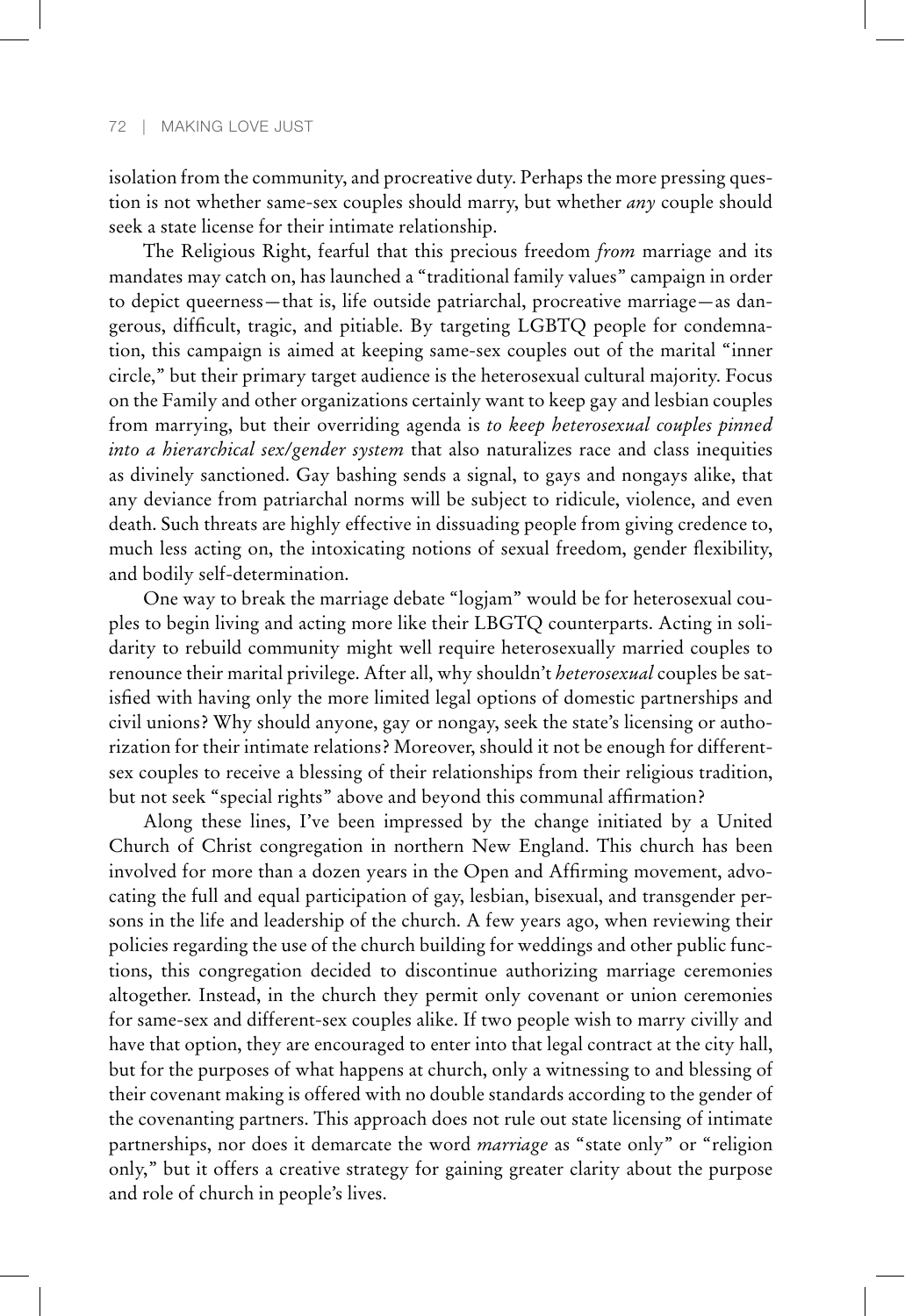isolation from the community, and procreative duty. Perhaps the more pressing question is not whether same-sex couples should marry, but whether *any* couple should seek a state license for their intimate relationship.

The Religious Right, fearful that this precious freedom *from* marriage and its mandates may catch on, has launched a "traditional family values" campaign in order to depict queerness—that is, life outside patriarchal, procreative marriage—as dangerous, difficult, tragic, and pitiable. By targeting LGBTQ people for condemnation, this campaign is aimed at keeping same-sex couples out of the marital "inner circle," but their primary target audience is the heterosexual cultural majority. Focus on the Family and other organizations certainly want to keep gay and lesbian couples from marrying, but their overriding agenda is *to keep heterosexual couples pinned into a hierarchical sex/gender system* that also naturalizes race and class inequities as divinely sanctioned. Gay bashing sends a signal, to gays and nongays alike, that any deviance from patriarchal norms will be subject to ridicule, violence, and even death. Such threats are highly effective in dissuading people from giving credence to, much less acting on, the intoxicating notions of sexual freedom, gender flexibility, and bodily self-determination.

One way to break the marriage debate "logjam" would be for heterosexual couples to begin living and acting more like their LBGTQ counterparts. Acting in solidarity to rebuild community might well require heterosexually married couples to renounce their marital privilege. After all, why shouldn't *heterosexual* couples be satisfied with having only the more limited legal options of domestic partnerships and civil unions? Why should anyone, gay or nongay, seek the state's licensing or authorization for their intimate relations? Moreover, should it not be enough for differentsex couples to receive a blessing of their relationships from their religious tradition, but not seek "special rights" above and beyond this communal affirmation?

Along these lines, I've been impressed by the change initiated by a United Church of Christ congregation in northern New England. This church has been involved for more than a dozen years in the Open and Affirming movement, advocating the full and equal participation of gay, lesbian, bisexual, and transgender persons in the life and leadership of the church. A few years ago, when reviewing their policies regarding the use of the church building for weddings and other public functions, this congregation decided to discontinue authorizing marriage ceremonies altogether. Instead, in the church they permit only covenant or union ceremonies for same-sex and different-sex couples alike. If two people wish to marry civilly and have that option, they are encouraged to enter into that legal contract at the city hall, but for the purposes of what happens at church, only a witnessing to and blessing of their covenant making is offered with no double standards according to the gender of the covenanting partners. This approach does not rule out state licensing of intimate partnerships, nor does it demarcate the word *marriage* as "state only" or "religion only," but it offers a creative strategy for gaining greater clarity about the purpose and role of church in people's lives.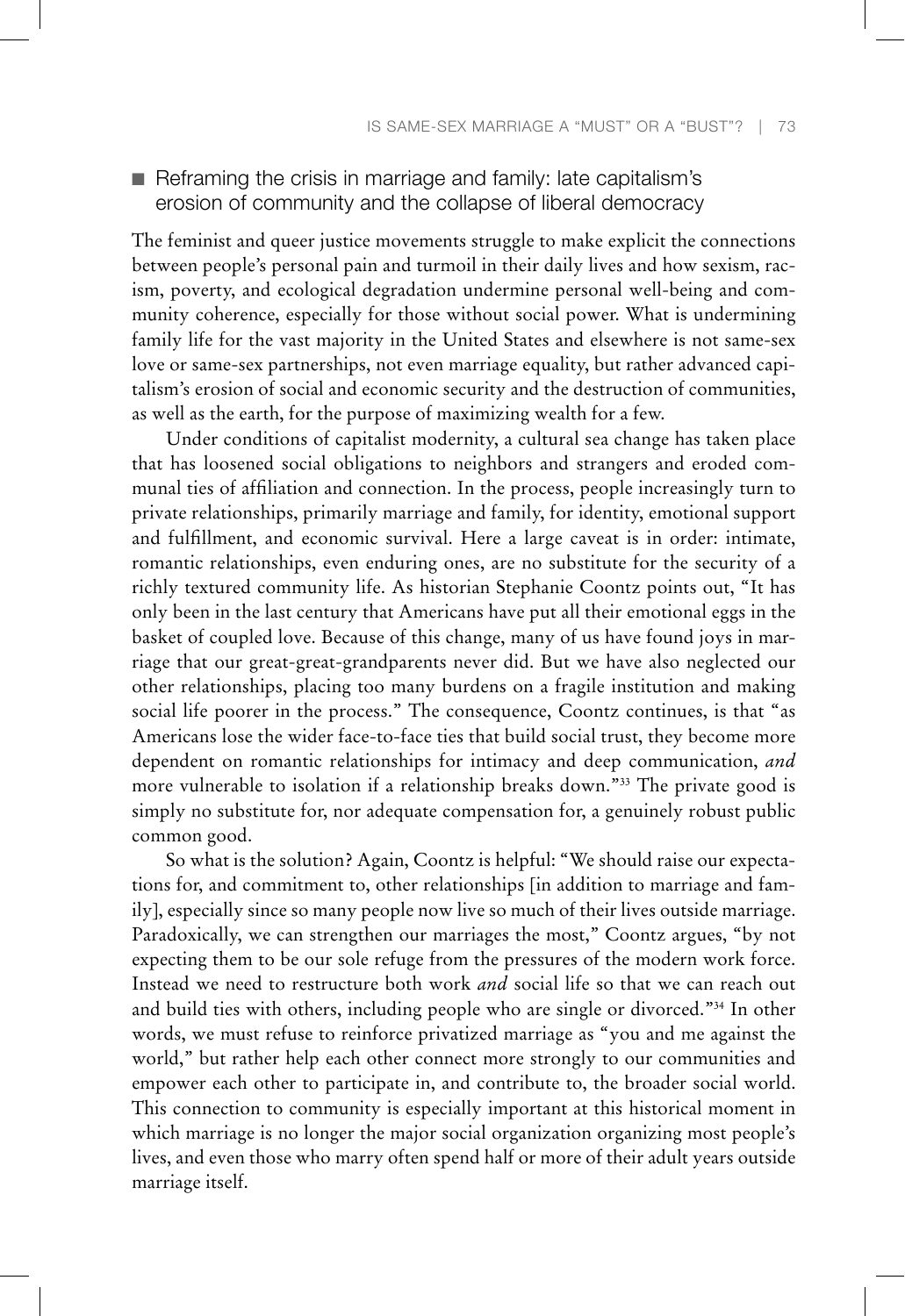$\blacksquare$  Reframing the crisis in marriage and family: late capitalism's erosion of community and the collapse of liberal democracy

The feminist and queer justice movements struggle to make explicit the connections between people's personal pain and turmoil in their daily lives and how sexism, racism, poverty, and ecological degradation undermine personal well-being and community coherence, especially for those without social power. What is undermining family life for the vast majority in the United States and elsewhere is not same-sex love or same-sex partnerships, not even marriage equality, but rather advanced capitalism's erosion of social and economic security and the destruction of communities, as well as the earth, for the purpose of maximizing wealth for a few.

Under conditions of capitalist modernity, a cultural sea change has taken place that has loosened social obligations to neighbors and strangers and eroded communal ties of affiliation and connection. In the process, people increasingly turn to private relationships, primarily marriage and family, for identity, emotional support and fulfillment, and economic survival. Here a large caveat is in order: intimate, romantic relationships, even enduring ones, are no substitute for the security of a richly textured community life. As historian Stephanie Coontz points out, "It has only been in the last century that Americans have put all their emotional eggs in the basket of coupled love. Because of this change, many of us have found joys in marriage that our great-great-grandparents never did. But we have also neglected our other relationships, placing too many burdens on a fragile institution and making social life poorer in the process." The consequence, Coontz continues, is that "as Americans lose the wider face-to-face ties that build social trust, they become more dependent on romantic relationships for intimacy and deep communication, *and*  more vulnerable to isolation if a relationship breaks down."33 The private good is simply no substitute for, nor adequate compensation for, a genuinely robust public common good.

So what is the solution? Again, Coontz is helpful: "We should raise our expectations for, and commitment to, other relationships [in addition to marriage and family], especially since so many people now live so much of their lives outside marriage. Paradoxically, we can strengthen our marriages the most," Coontz argues, "by not expecting them to be our sole refuge from the pressures of the modern work force. Instead we need to restructure both work *and* social life so that we can reach out and build ties with others, including people who are single or divorced."34 In other words, we must refuse to reinforce privatized marriage as "you and me against the world," but rather help each other connect more strongly to our communities and empower each other to participate in, and contribute to, the broader social world. This connection to community is especially important at this historical moment in which marriage is no longer the major social organization organizing most people's lives, and even those who marry often spend half or more of their adult years outside marriage itself.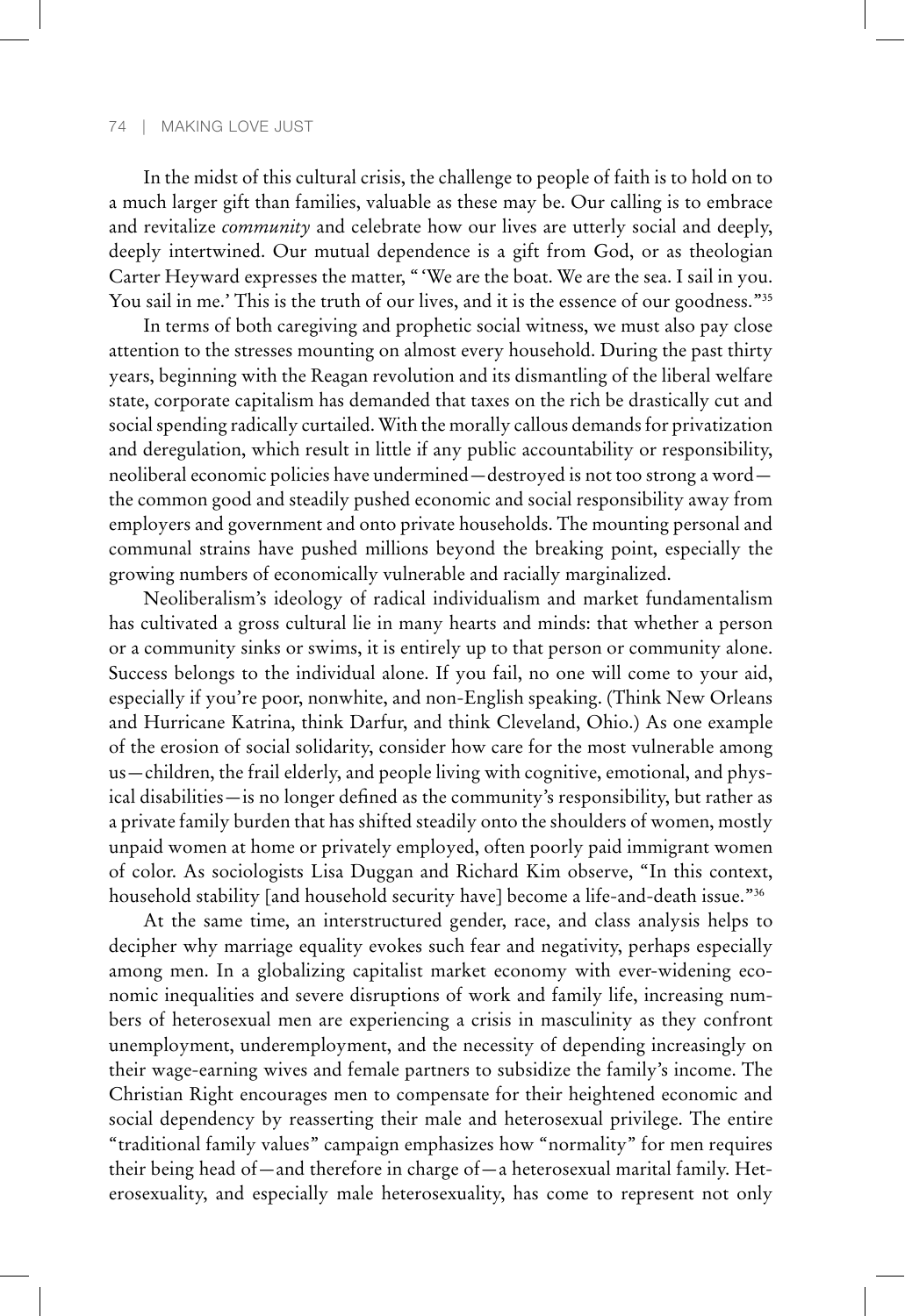#### 74 | MAKING LOVE JUST

In the midst of this cultural crisis, the challenge to people of faith is to hold on to a much larger gift than families, valuable as these may be. Our calling is to embrace and revitalize *community* and celebrate how our lives are utterly social and deeply, deeply intertwined. Our mutual dependence is a gift from God, or as theologian Carter Heyward expresses the matter, "'We are the boat. We are the sea. I sail in you. You sail in me.' This is the truth of our lives, and it is the essence of our goodness."<sup>35</sup>

In terms of both caregiving and prophetic social witness, we must also pay close attention to the stresses mounting on almost every household. During the past thirty years, beginning with the Reagan revolution and its dismantling of the liberal welfare state, corporate capitalism has demanded that taxes on the rich be drastically cut and social spending radically curtailed. With the morally callous demands for privatization and deregulation, which result in little if any public accountability or responsibility, neoliberal economic policies have undermined—destroyed is not too strong a word the common good and steadily pushed economic and social responsibility away from employers and government and onto private households. The mounting personal and communal strains have pushed millions beyond the breaking point, especially the growing numbers of economically vulnerable and racially marginalized.

Neoliberalism's ideology of radical individualism and market fundamentalism has cultivated a gross cultural lie in many hearts and minds: that whether a person or a community sinks or swims, it is entirely up to that person or community alone. Success belongs to the individual alone. If you fail, no one will come to your aid, especially if you're poor, nonwhite, and non-English speaking. (Think New Orleans and Hurricane Katrina, think Darfur, and think Cleveland, Ohio.) As one example of the erosion of social solidarity, consider how care for the most vulnerable among us—children, the frail elderly, and people living with cognitive, emotional, and physical disabilities—is no longer defined as the community's responsibility, but rather as a private family burden that has shifted steadily onto the shoulders of women, mostly unpaid women at home or privately employed, often poorly paid immigrant women of color. As sociologists Lisa Duggan and Richard Kim observe, "In this context, household stability [and household security have] become a life-and-death issue."36

At the same time, an interstructured gender, race, and class analysis helps to decipher why marriage equality evokes such fear and negativity, perhaps especially among men. In a globalizing capitalist market economy with ever-widening economic inequalities and severe disruptions of work and family life, increasing numbers of heterosexual men are experiencing a crisis in masculinity as they confront unemployment, underemployment, and the necessity of depending increasingly on their wage-earning wives and female partners to subsidize the family's income. The Christian Right encourages men to compensate for their heightened economic and social dependency by reasserting their male and heterosexual privilege. The entire "traditional family values" campaign emphasizes how "normality" for men requires their being head of—and therefore in charge of—a heterosexual marital family. Heterosexuality, and especially male heterosexuality, has come to represent not only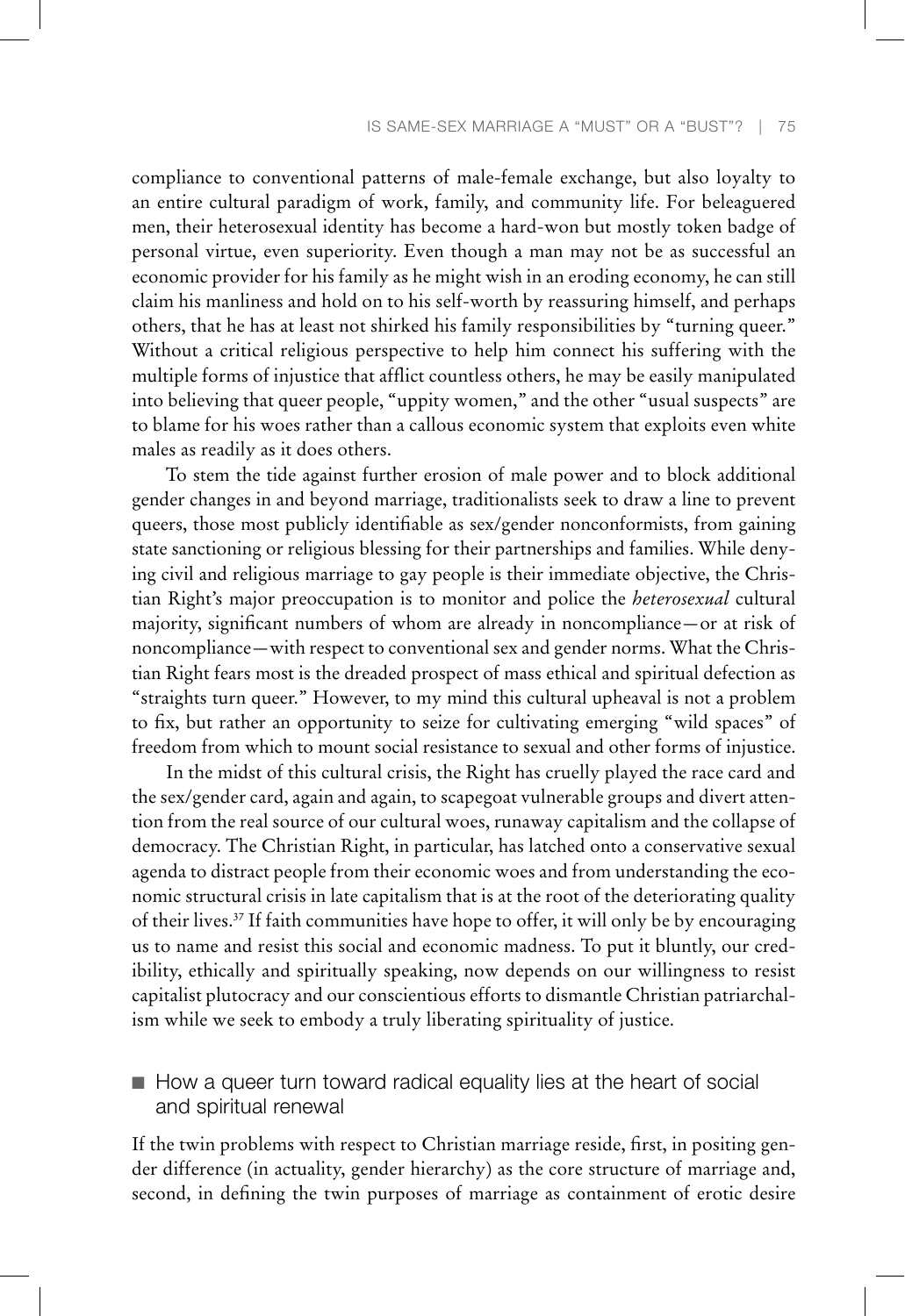compliance to conventional patterns of male-female exchange, but also loyalty to an entire cultural paradigm of work, family, and community life. For beleaguered men, their heterosexual identity has become a hard-won but mostly token badge of personal virtue, even superiority. Even though a man may not be as successful an economic provider for his family as he might wish in an eroding economy, he can still claim his manliness and hold on to his self-worth by reassuring himself, and perhaps others, that he has at least not shirked his family responsibilities by "turning queer." Without a critical religious perspective to help him connect his suffering with the multiple forms of injustice that afflict countless others, he may be easily manipulated into believing that queer people, "uppity women," and the other "usual suspects" are to blame for his woes rather than a callous economic system that exploits even white males as readily as it does others.

To stem the tide against further erosion of male power and to block additional gender changes in and beyond marriage, traditionalists seek to draw a line to prevent queers, those most publicly identifiable as sex/gender nonconformists, from gaining state sanctioning or religious blessing for their partnerships and families. While denying civil and religious marriage to gay people is their immediate objective, the Christian Right's major preoccupation is to monitor and police the *heterosexual* cultural majority, significant numbers of whom are already in noncompliance—or at risk of noncompliance—with respect to conventional sex and gender norms. What the Christian Right fears most is the dreaded prospect of mass ethical and spiritual defection as "straights turn queer." However, to my mind this cultural upheaval is not a problem to fix, but rather an opportunity to seize for cultivating emerging "wild spaces" of freedom from which to mount social resistance to sexual and other forms of injustice.

In the midst of this cultural crisis, the Right has cruelly played the race card and the sex/gender card, again and again, to scapegoat vulnerable groups and divert attention from the real source of our cultural woes, runaway capitalism and the collapse of democracy. The Christian Right, in particular, has latched onto a conservative sexual agenda to distract people from their economic woes and from understanding the economic structural crisis in late capitalism that is at the root of the deteriorating quality of their lives.37 If faith communities have hope to offer, it will only be by encouraging us to name and resist this social and economic madness. To put it bluntly, our credibility, ethically and spiritually speaking, now depends on our willingness to resist capitalist plutocracy and our conscientious efforts to dismantle Christian patriarchalism while we seek to embody a truly liberating spirituality of justice.

 $\blacksquare$  How a queer turn toward radical equality lies at the heart of social and spiritual renewal

If the twin problems with respect to Christian marriage reside, first, in positing gender difference (in actuality, gender hierarchy) as the core structure of marriage and, second, in defining the twin purposes of marriage as containment of erotic desire